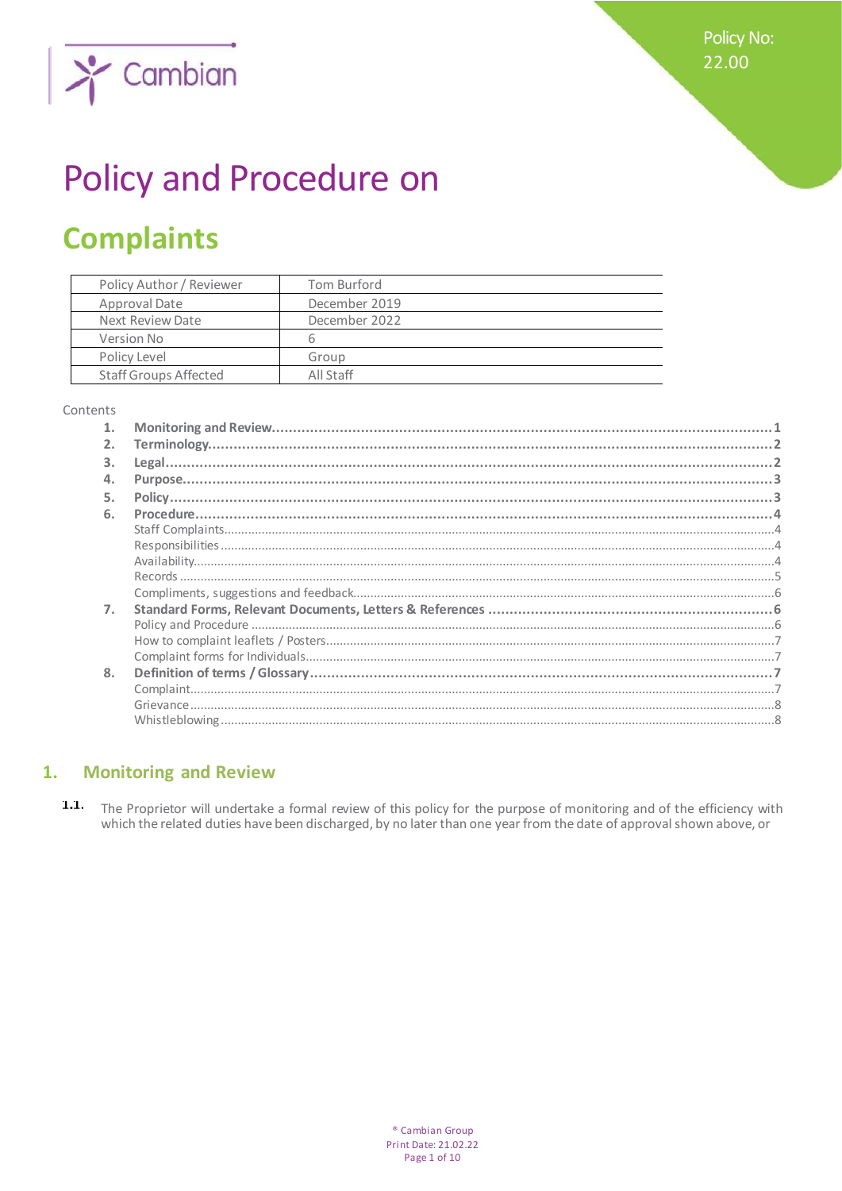**Policy No:** 22.00



# Policy and Procedure on

## **Complaints**

| Policy Author / Reviewer     | Tom Burford   |
|------------------------------|---------------|
| Approval Date                | December 2019 |
| Next Review Date             | December 2022 |
| Version No                   | h             |
| Policy Level                 | Group         |
| <b>Staff Groups Affected</b> | All Staff     |

#### Contents

| $\mathbf{1}$ . |  |
|----------------|--|
| 2.             |  |
| 3.             |  |
| 4.             |  |
| 5.             |  |
| 6.             |  |
|                |  |
|                |  |
|                |  |
|                |  |
|                |  |
| 7.             |  |
|                |  |
|                |  |
|                |  |
| 8.             |  |
|                |  |
|                |  |
|                |  |

#### **Monitoring and Review**  $1.$

 $1.1,$ The Proprietor will undertake a formal review of this policy for the purpose of monitoring and of the efficiency with which the related duties have been discharged, by no later than one year from the date of approval shown above, or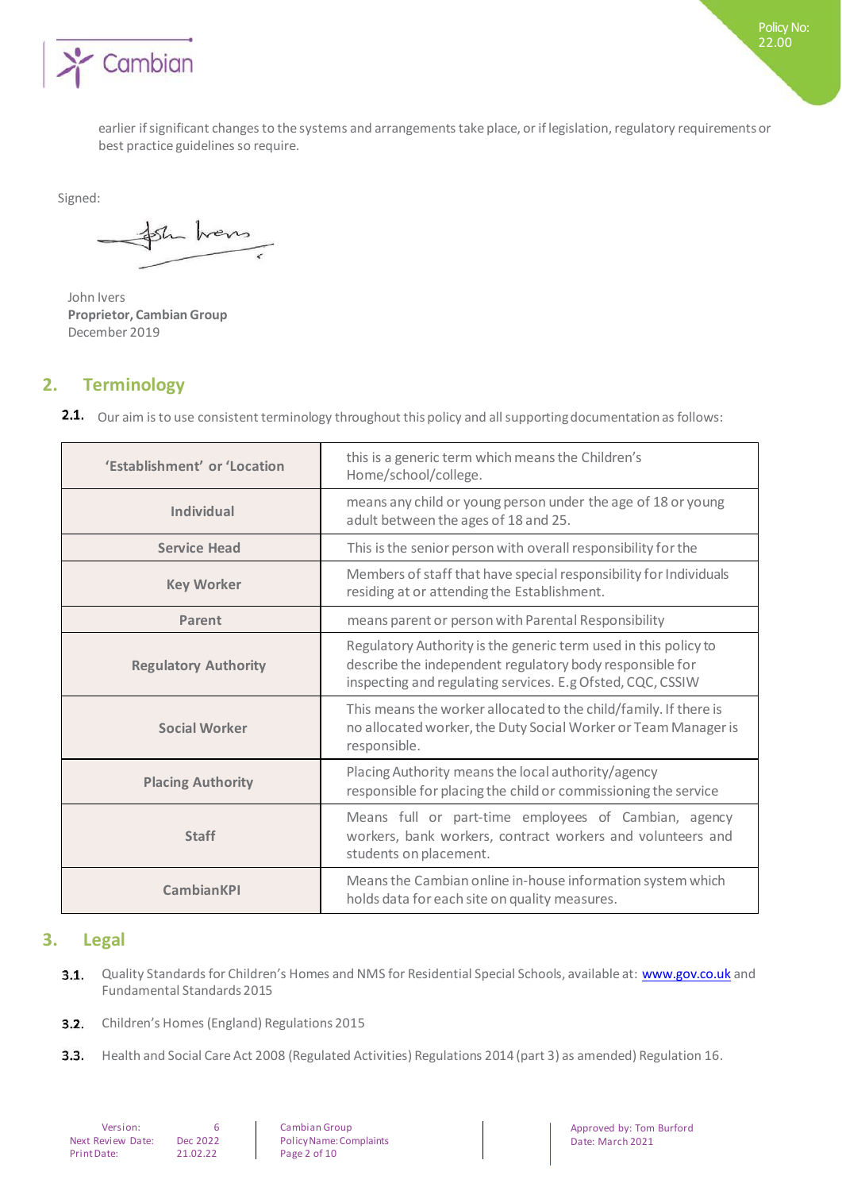

earlier if significant changes to the systems and arrangements take place, or if legislation, regulatory requirements or best practice guidelines so require.

Signed:

the hors

John Ivers **Proprietor, Cambian Group** December 2019

## **2. Terminology**

2.1. Our aim is to use consistent terminology throughout this policy and all supporting documentation as follows:

| 'Establishment' or 'Location | this is a generic term which means the Children's<br>Home/school/college.                                                                                                                 |
|------------------------------|-------------------------------------------------------------------------------------------------------------------------------------------------------------------------------------------|
| <b>Individual</b>            | means any child or young person under the age of 18 or young<br>adult between the ages of 18 and 25.                                                                                      |
| <b>Service Head</b>          | This is the senior person with overall responsibility for the                                                                                                                             |
| <b>Key Worker</b>            | Members of staff that have special responsibility for Individuals<br>residing at or attending the Establishment.                                                                          |
| Parent                       | means parent or person with Parental Responsibility                                                                                                                                       |
| <b>Regulatory Authority</b>  | Regulatory Authority is the generic term used in this policy to<br>describe the independent regulatory body responsible for<br>inspecting and regulating services. E.g Ofsted, CQC, CSSIW |
| <b>Social Worker</b>         | This means the worker allocated to the child/family. If there is<br>no allocated worker, the Duty Social Worker or Team Manager is<br>responsible.                                        |
| <b>Placing Authority</b>     | Placing Authority means the local authority/agency<br>responsible for placing the child or commissioning the service                                                                      |
| <b>Staff</b>                 | Means full or part-time employees of Cambian, agency<br>workers, bank workers, contract workers and volunteers and<br>students on placement.                                              |
| <b>CambianKPI</b>            | Means the Cambian online in-house information system which<br>holds data for each site on quality measures.                                                                               |

## **3. Legal**

- Quality Standards for Children's Homes and NMS for Residential Special Schools, available at: [www.gov.co.uk](http://www.gov.co.uk/) and  $3.1.$ Fundamental Standards 2015
- **3.2.** Children's Homes (England) Regulations 2015
- $3.3.$ Health and Social Care Act 2008 (Regulated Activities) Regulations 2014 (part 3) as amended) Regulation 16.

| Version:          |          |  |
|-------------------|----------|--|
| Next Review Date: | Dec 2022 |  |
| Print Date:       | 21.02.22 |  |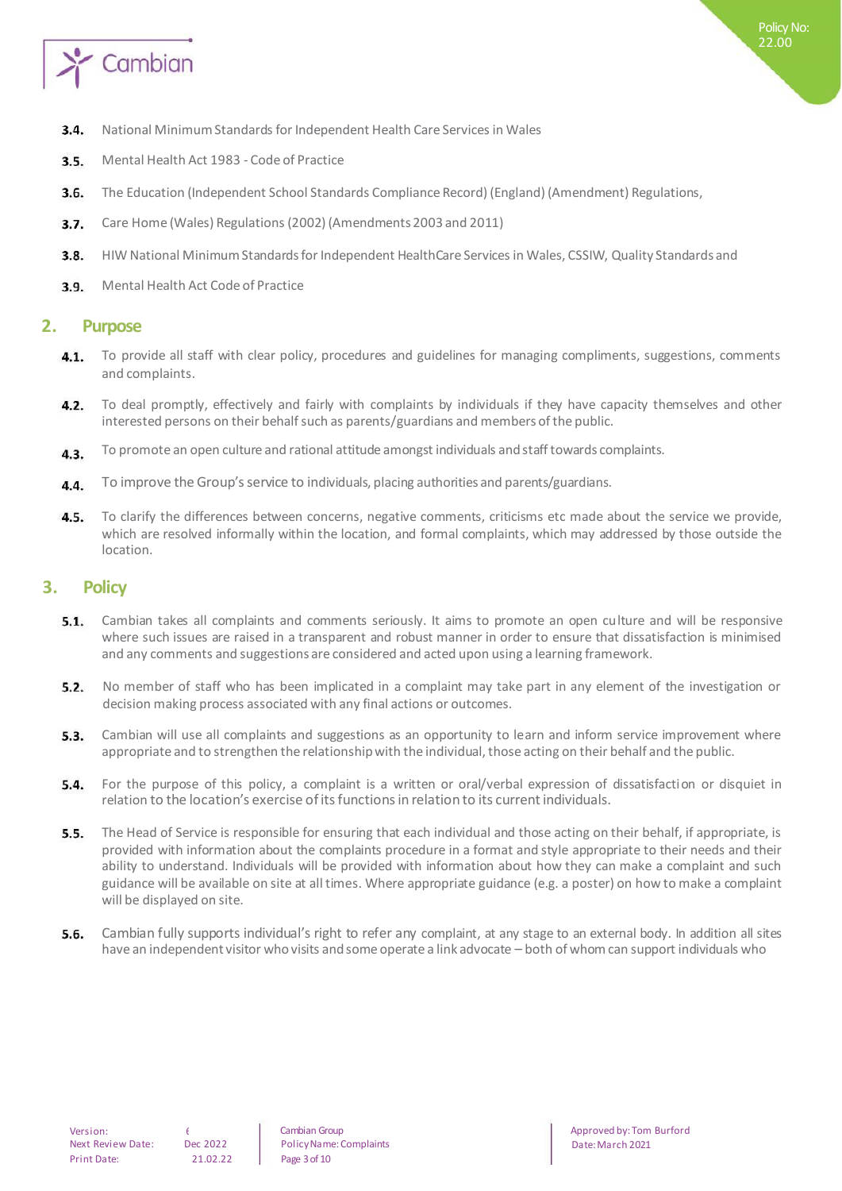

- National Minimum Standards for Independent Health Care Services in Wales  $3.4.$
- Mental Health Act 1983 Code of Practice  $3.5.$
- $3.6.$ The Education (Independent School Standards Compliance Record) (England) (Amendment) Regulations,
- $3.7.$ Care Home (Wales) Regulations (2002) (Amendments 2003 and 2011)
- $3.8.$ HIW National Minimum Standards for Independent HealthCare Services in Wales, CSSIW, Quality Standards and
- Mental Health Act Code of Practice  $3.9.$

#### **2. Purpose**

- To provide all staff with clear policy, procedures and guidelines for managing compliments, suggestions, comments  $4.1.$ and complaints.
- $4.2.$ To deal promptly, effectively and fairly with complaints by individuals if they have capacity themselves and other interested persons on their behalf such as parents/guardians and members of the public.
- To promote an open culture and rational attitude amongst individuals and staff towards complaints.  $4.3.$
- To improve the Group's service to individuals, placing authorities and parents/guardians.  $4.4.$
- 4.5. To clarify the differences between concerns, negative comments, criticisms etc made about the service we provide, which are resolved informally within the location, and formal complaints, which may addressed by those outside the location.

#### **3. Policy**

- $5.1.$ Cambian takes all complaints and comments seriously. It aims to promote an open culture and will be responsive where such issues are raised in a transparent and robust manner in order to ensure that dissatisfaction is minimised and any comments and suggestions are considered and acted upon using a learning framework.
- $5.2.$ No member of staff who has been implicated in a complaint may take part in any element of the investigation or decision making process associated with any final actions or outcomes.
- $5.3.$ Cambian will use all complaints and suggestions as an opportunity to learn and inform service improvement where appropriate and to strengthen the relationship with the individual, those acting on their behalf and the public.
- For the purpose of this policy, a complaint is a written or oral/verbal expression of dissatisfaction or disquiet in  $5.4.$ relation to the location's exercise of its functions in relation to its current individuals.
- $5.5.$ The Head of Service is responsible for ensuring that each individual and those acting on their behalf, if appropriate, is provided with information about the complaints procedure in a format and style appropriate to their needs and their ability to understand. Individuals will be provided with information about how they can make a complaint and such guidance will be available on site at all times. Where appropriate guidance (e.g. a poster) on how to make a complaint will be displayed on site.
- 5.6. Cambian fully supports individual's right to refer any complaint, at any stage to an external body. In addition all sites have an independent visitor who visits and some operate a link advocate – both of whom can support individuals who

Cambian Group Policy Name: Complaints Page 3 of 10

Approved by: Tom Burford Date: March 2021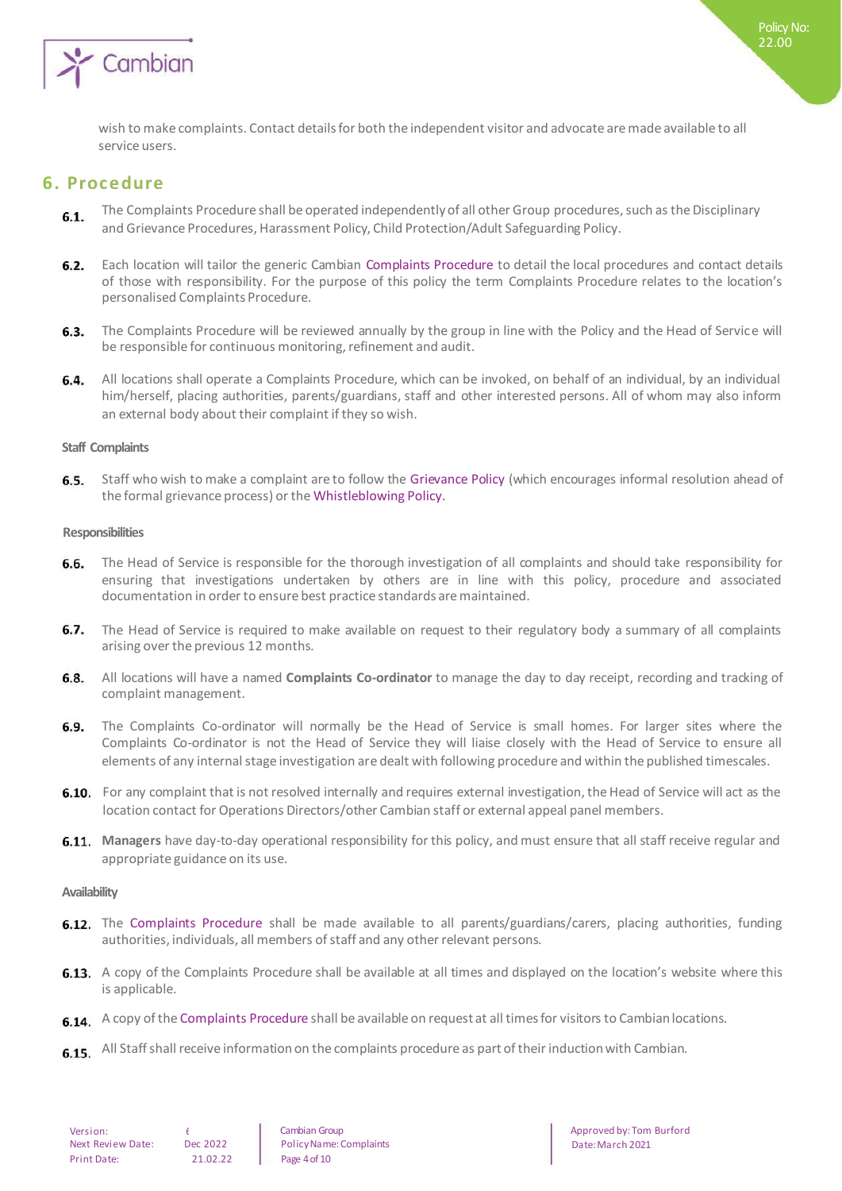

wish to make complaints. Contact details for both the independent visitor and advocate are made available to all service users.

### **6. Procedure**

- The Complaints Procedure shall be operated independently of all other Group procedures, such as the Disciplinary  $6.1.$ and Grievance Procedures, Harassment Policy, Child Protection/Adult Safeguarding Policy.
- $6.2.$ Each location will tailor the generic Cambian Complaints Procedure to detail the local procedures and contact details of those with responsibility. For the purpose of this policy the term Complaints Procedure relates to the location's personalised Complaints Procedure.
- $6.3.$ The Complaints Procedure will be reviewed annually by the group in line with the Policy and the Head of Service will be responsible for continuous monitoring, refinement and audit.
- All locations shall operate a Complaints Procedure, which can be invoked, on behalf of an individual, by an individual 6.4. him/herself, placing authorities, parents/guardians, staff and other interested persons. All of whom may also inform an external body about their complaint if they so wish.

#### **Staff Complaints**

6.5. Staff who wish to make a complaint are to follow the Grievance Policy (which encourages informal resolution ahead of the formal grievance process) or the Whistleblowing Policy.

#### **Responsibilities**

- 6.6. The Head of Service is responsible for the thorough investigation of all complaints and should take responsibility for ensuring that investigations undertaken by others are in line with this policy, procedure and associated documentation in order to ensure best practice standards are maintained.
- $6.7.$ The Head of Service is required to make available on request to their regulatory body a summary of all complaints arising over the previous 12 months.
- 6.8. All locations will have a named **Complaints Co-ordinator** to manage the day to day receipt, recording and tracking of complaint management.
- 6.9. The Complaints Co-ordinator will normally be the Head of Service is small homes. For larger sites where the Complaints Co-ordinator is not the Head of Service they will liaise closely with the Head of Service to ensure all elements of any internal stage investigation are dealt with following procedure and within the published timescales.
- 6.10. For any complaint that is not resolved internally and requires external investigation, the Head of Service will act as the location contact for Operations Directors/other Cambian staff or external appeal panel members.
- **Managers** have day-to-day operational responsibility for this policy, and must ensure that all staff receive regular and appropriate guidance on its use.

#### **Availability**

- **6.12.** The Complaints Procedure shall be made available to all parents/guardians/carers, placing authorities, funding authorities, individuals, all members of staff and any other relevant persons.
- **6.13.** A copy of the Complaints Procedure shall be available at all times and displayed on the location's website where this is applicable.
- 6.14. A copy of the Complaints Procedure shall be available on request at all times for visitors to Cambian locations.
- 6.15. All Staff shall receive information on the complaints procedure as part of their induction with Cambian.

Cambian Group Policy Name: Complaints Page 4 of 10

Approved by: Tom Burford Date: March 2021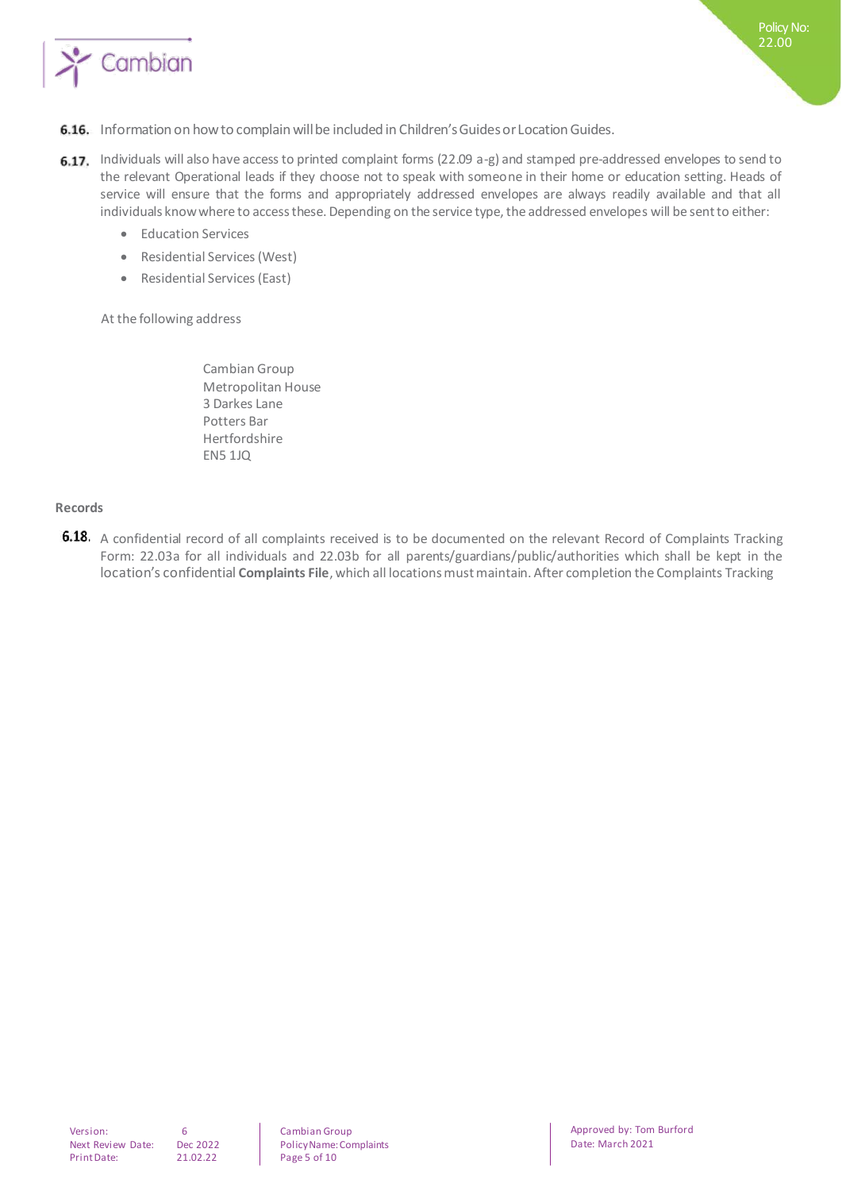

- 6.16. Information on how to complain will be included in Children's Guides or Location Guides.
- 6.17. Individuals will also have access to printed complaint forms (22.09 a-g) and stamped pre-addressed envelopes to send to the relevant Operational leads if they choose not to speak with someone in their home or education setting. Heads of service will ensure that the forms and appropriately addressed envelopes are always readily available and that all individuals know where to access these. Depending on the service type, the addressed envelopes will be sent to either:
	- **•** Education Services
	- Residential Services (West)
	- Residential Services (East)

At the following address

Cambian Group Metropolitan House 3 Darkes Lane Potters Bar Hertfordshire EN5 1JQ

#### **Records**

6.18. A confidential record of all complaints received is to be documented on the relevant Record of Complaints Tracking Form: 22.03a for all individuals and 22.03b for all parents/guardians/public/authorities which shall be kept in the location's confidential **Complaints File**, which all locations must maintain. After completion the Complaints Tracking

Cambian Group Policy Name: Complaints Page 5 of 10

Approved by: Tom Burford Date: March 2021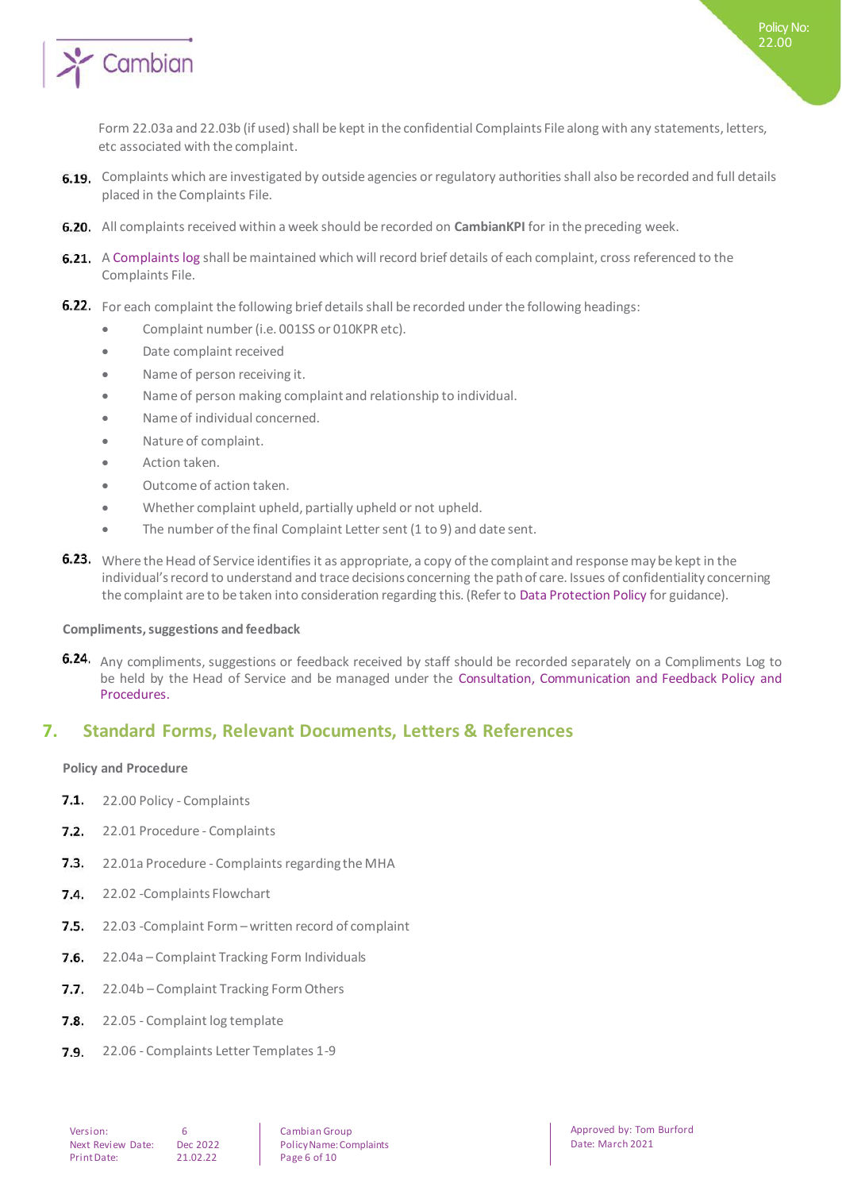

Form 22.03a and 22.03b (if used) shall be kept in the confidential Complaints File along with any statements, letters, etc associated with the complaint.

- 6.19. Complaints which are investigated by outside agencies or regulatory authorities shall also be recorded and full details placed in the Complaints File.
- All complaints received within a week should be recorded on **CambianKPI** for in the preceding week.
- 6.21. A Complaints log shall be maintained which will record brief details of each complaint, cross referenced to the Complaints File.
- 6.22. For each complaint the following brief details shall be recorded under the following headings:
	- Complaint number (i.e. 001SS or 010KPR etc).
	- Date complaint received
	- Name of person receiving it.
	- Name of person making complaint and relationship to individual.
	- Name of individual concerned.
	- Nature of complaint.
	- Action taken.
	- Outcome of action taken.
	- Whether complaint upheld, partially upheld or not upheld.
	- The number of the final Complaint Letter sent (1 to 9) and date sent.
- **6.23.** Where the Head of Service identifies it as appropriate, a copy of the complaint and response may be kept in the individual's record to understand and trace decisions concerning the path of care. Issues of confidentiality concerning the complaint are to be taken into consideration regarding this. (Refer to Data Protection Policy for guidance).

#### **Compliments, suggestions and feedback**

6.24. Any compliments, suggestions or feedback received by staff should be recorded separately on a Compliments Log to be held by the Head of Service and be managed under the Consultation, Communication and Feedback Policy and Procedures.

## **7. Standard Forms, Relevant Documents, Letters & References**

#### **Policy and Procedure**

- $7.1.$ 22.00 Policy - Complaints
- $7.2.$ 22.01 Procedure - Complaints
- $7.3.$ 22.01a Procedure - Complaints regarding the MHA
- $7.4.$ 22.02 -Complaints Flowchart
- $7.5.$ 22.03 -Complaint Form – written record of complaint
- $7.6.$ 22.04a – Complaint Tracking Form Individuals
- $7.7.$ 22.04b – Complaint Tracking Form Others
- $7.8.$ 22.05 - Complaint log template
- $7.9.$ 22.06 - Complaints Letter Templates 1-9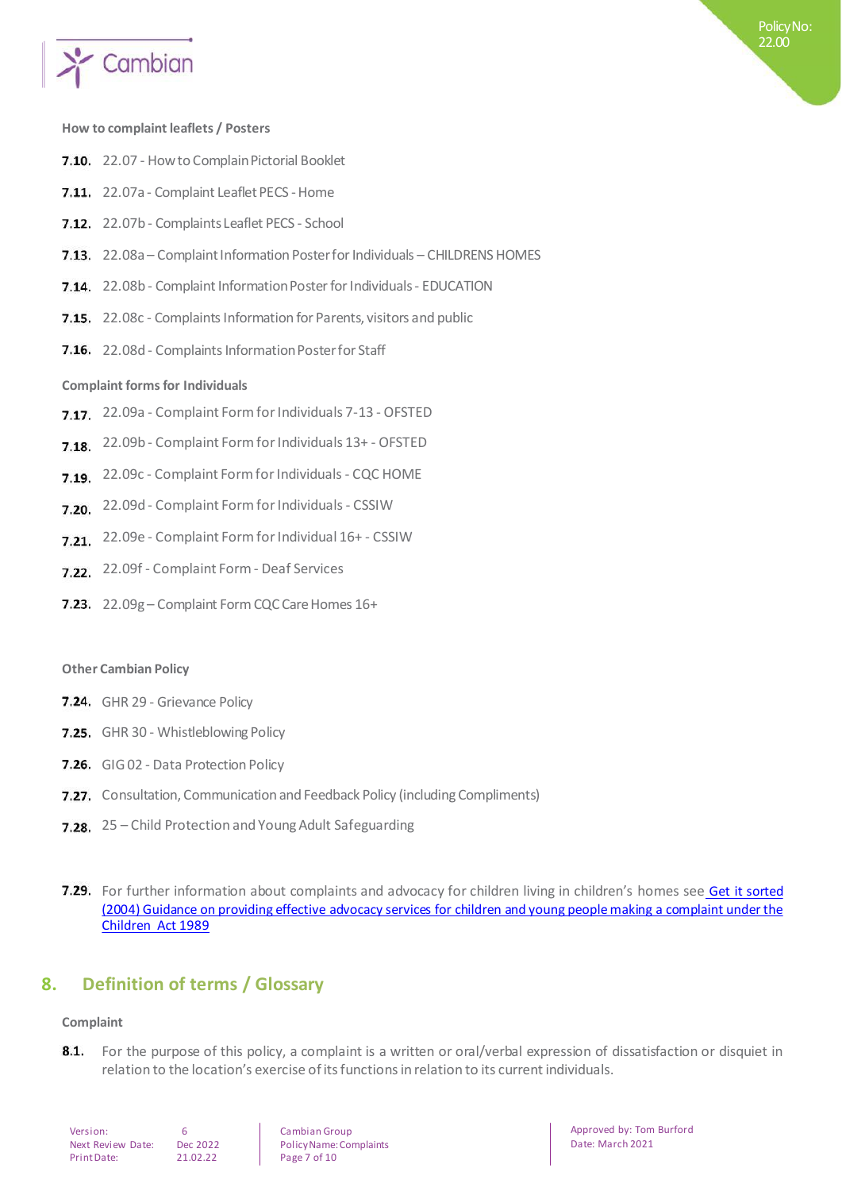

#### **How to complaint leaflets / Posters**

- 7.10. 22.07 How to Complain Pictorial Booklet
- 7.11. 22.07a Complaint Leaflet PECS Home
- 7.12. 22.07b Complaints Leaflet PECS School
- 7.13. 22.08a Complaint Information Poster for Individuals CHILDRENS HOMES
- 7.14. 22.08b Complaint Information Poster for Individuals EDUCATION
- 7.15. 22.08c Complaints Information for Parents, visitors and public
- 7.16. 22.08d Complaints Information Poster for Staff

#### **Complaint forms for Individuals**

- 22.09a Complaint Form for Individuals 7-13 OFSTED
- 22.09b Complaint Form for Individuals 13+ OFSTED
- 7.19. 22.09c Complaint Form for Individuals CQC HOME
- 7.20. 22.09d Complaint Form for Individuals CSSIW
- 7.21. 22.09e Complaint Form for Individual 16+ CSSIW
- 7.22. 22.09f Complaint Form Deaf Services
- 7.23. 22.09g Complaint Form CQC Care Homes 16+

#### **Other Cambian Policy**

- 7.24. GHR 29 Grievance Policy
- 7.25. GHR 30 Whistleblowing Policy
- 7.26. GIG 02 Data Protection Policy
- 7.27. Consultation, Communication and Feedback Policy (including Compliments)
- 7.28. 25 Child Protection and Young Adult Safeguarding
- **Guidance** For further information about complaints and advocacy for children living in children's homes see Get it sorted [\(2004\) Guidance on providing effective advocacy services for children and young people making a complaint under the](https://www.gov.uk/government/publications/advocacy-services-for-children-and-young-people)  [Children](https://www.gov.uk/government/publications/advocacy-services-for-children-and-young-people) [Act 1989](https://www.gov.uk/government/publications/advocacy-services-for-children-and-young-people)

## **8. Definition of terms / Glossary**

#### **Complaint**

8.1. For the purpose of this policy, a complaint is a written or oral/verbal expression of dissatisfaction or disquiet in relation to the location's exercise of its functions in relation to its current individuals.

| Version:          | 6  |
|-------------------|----|
| Next Review Date: | De |
| Print Date:       | 21 |

e: Dec 2022  $21.02.22$ 

Cambian Group Policy Name: Complaints Page 7 of 10

Approved by: Tom Burford Date: March 2021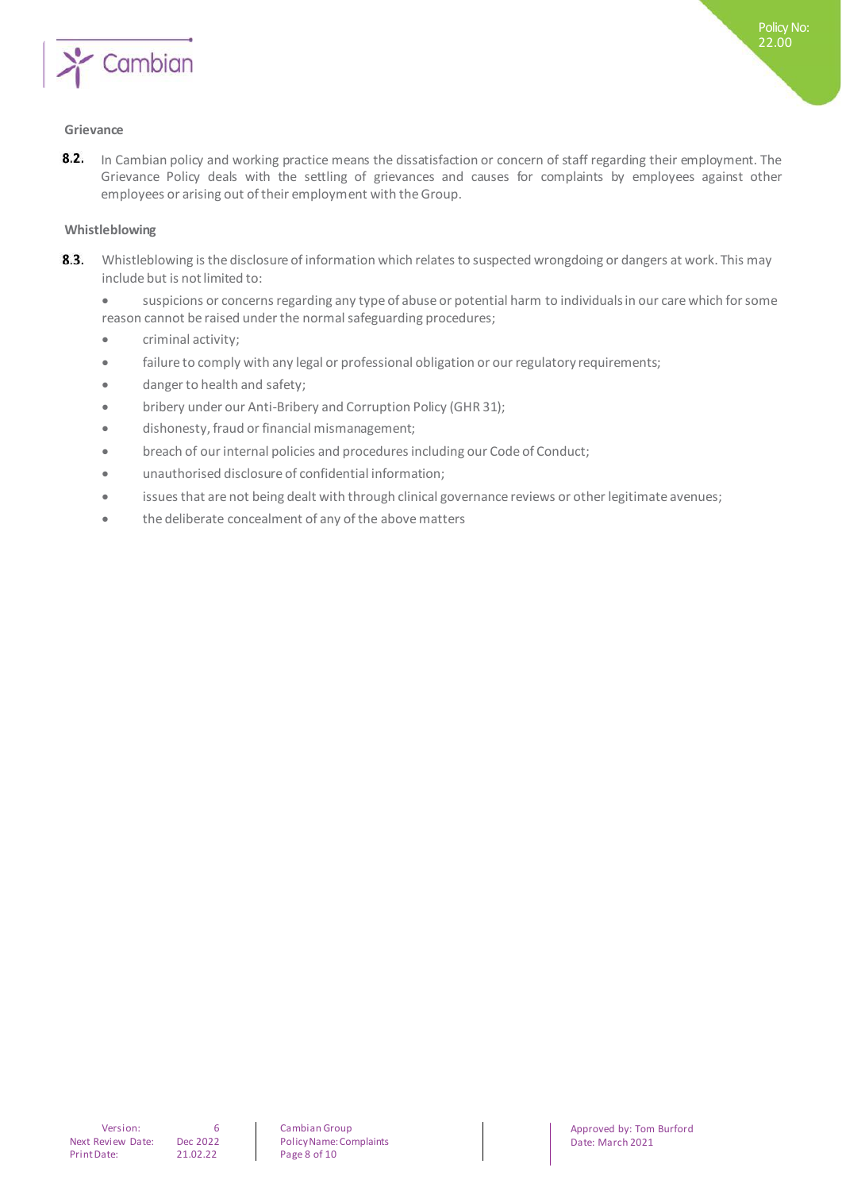

#### **Grievance**

 $8.2.$ In Cambian policy and working practice means the dissatisfaction or concern of staff regarding their employment. The Grievance Policy deals with the settling of grievances and causes for complaints by employees against other employees or arising out of their employment with the Group.

#### **Whistleblowing**

- 8.3. Whistleblowing is the disclosure of information which relates to suspected wrongdoing or dangers at work. This may include but is not limited to:
	- suspicions or concerns regarding any type of abuse or potential harm to individuals in our care which for some reason cannot be raised under the normal safeguarding procedures;
	- **•** criminal activity:
	- failure to comply with any legal or professional obligation or our regulatory requirements;
	- danger to health and safety;
	- bribery under our Anti-Bribery and Corruption Policy (GHR 31);
	- dishonesty, fraud or financial mismanagement;
	- breach of our internal policies and procedures including our Code of Conduct;
	- unauthorised disclosure of confidential information;
	- issues that are not being dealt with through clinical governance reviews or other legitimate avenues;
	- the deliberate concealment of any of the above matters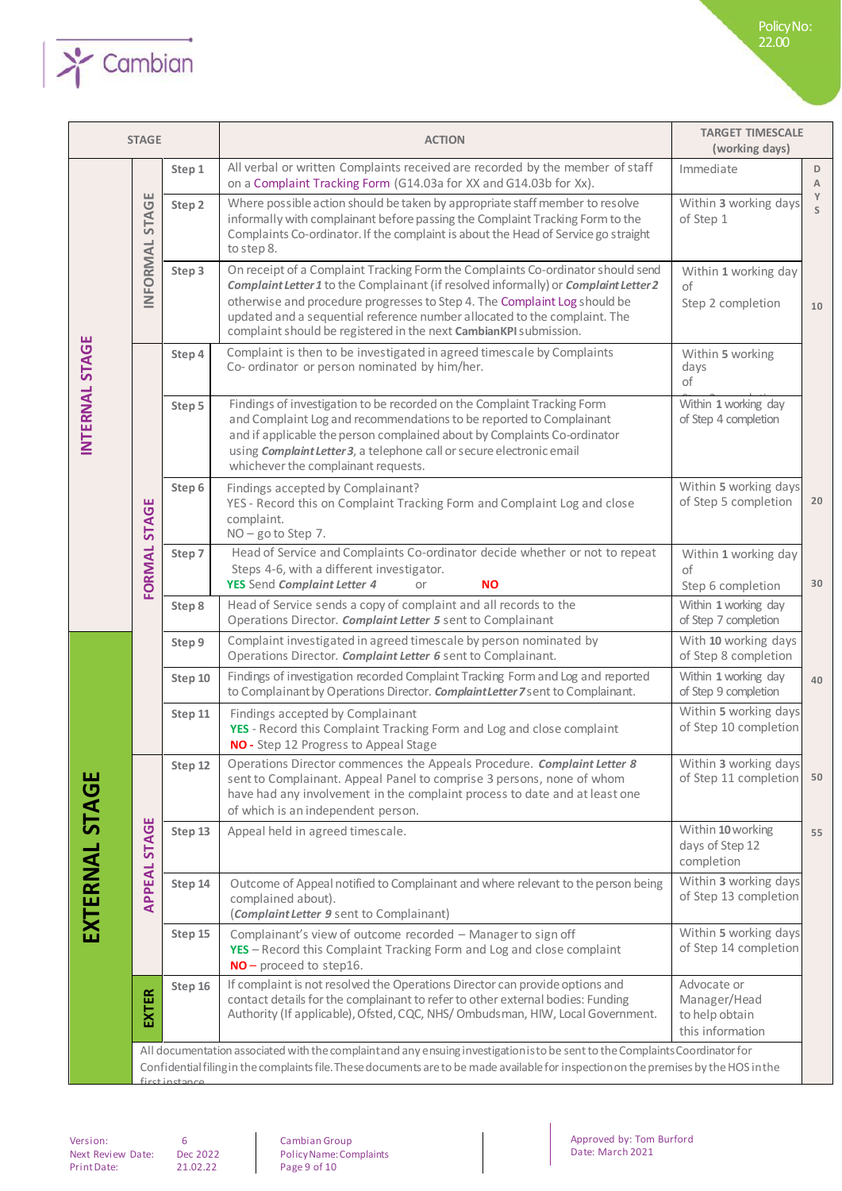

| <b>STAGE</b>   |              |               | <b>ACTION</b>                                                                                                                                                                                                                                                                                                                                                                                          | <b>TARGET TIMESCALE</b><br>(working days)                         |        |
|----------------|--------------|---------------|--------------------------------------------------------------------------------------------------------------------------------------------------------------------------------------------------------------------------------------------------------------------------------------------------------------------------------------------------------------------------------------------------------|-------------------------------------------------------------------|--------|
|                |              | Step 1        | All verbal or written Complaints received are recorded by the member of staff<br>on a Complaint Tracking Form (G14.03a for XX and G14.03b for Xx).                                                                                                                                                                                                                                                     | Immediate                                                         | D<br>A |
|                | <b>STAGE</b> | Step 2        | Where possible action should be taken by appropriate staff member to resolve<br>informally with complainant before passing the Complaint Tracking Form to the<br>Complaints Co-ordinator. If the complaint is about the Head of Service go straight<br>to step 8.                                                                                                                                      | Within 3 working days<br>of Step 1                                | Y<br>S |
|                | INFORMAL     | Step 3        | On receipt of a Complaint Tracking Form the Complaints Co-ordinator should send<br>Complaint Letter 1 to the Complainant (if resolved informally) or Complaint Letter 2<br>otherwise and procedure progresses to Step 4. The Complaint Log should be<br>updated and a sequential reference number allocated to the complaint. The<br>complaint should be registered in the next CambianKPI submission. | Within 1 working day<br>of<br>Step 2 completion                   | 10     |
|                |              | Step 4        | Complaint is then to be investigated in agreed timescale by Complaints<br>Co- ordinator or person nominated by him/her.                                                                                                                                                                                                                                                                                | Within 5 working<br>days<br>of                                    |        |
| INTERNAL STAGE |              | Step 5        | Findings of investigation to be recorded on the Complaint Tracking Form<br>and Complaint Log and recommendations to be reported to Complainant<br>and if applicable the person complained about by Complaints Co-ordinator<br>using Complaint Letter 3, a telephone call or secure electronic email<br>whichever the complainant requests.                                                             | Within 1 working day<br>of Step 4 completion                      |        |
|                |              | Step 6        | Findings accepted by Complainant?<br>YES - Record this on Complaint Tracking Form and Complaint Log and close<br>complaint.<br>NO-go to Step 7.                                                                                                                                                                                                                                                        | Within 5 working days<br>of Step 5 completion                     | 20     |
|                | FORMAL STAGE | Step 7        | Head of Service and Complaints Co-ordinator decide whether or not to repeat<br>Steps 4-6, with a different investigator.<br>YES Send Complaint Letter 4<br><b>NO</b><br>or                                                                                                                                                                                                                             | Within 1 working day<br>οf<br>Step 6 completion                   | 30     |
|                |              | Step 8        | Head of Service sends a copy of complaint and all records to the<br>Operations Director. Complaint Letter 5 sent to Complainant                                                                                                                                                                                                                                                                        | Within 1 working day<br>of Step 7 completion                      |        |
|                |              | Step 9        | Complaint investigated in agreed timescale by person nominated by<br>Operations Director. Complaint Letter 6 sent to Complainant.                                                                                                                                                                                                                                                                      | With 10 working days<br>of Step 8 completion                      |        |
|                |              | Step 10       | Findings of investigation recorded Complaint Tracking Form and Log and reported<br>to Complainant by Operations Director. Complaint Letter 7 sent to Complainant.                                                                                                                                                                                                                                      | Within 1 working day<br>of Step 9 completion                      | 40     |
|                |              | Step 11       | Findings accepted by Complainant<br>YES - Record this Complaint Tracking Form and Log and close complaint<br>NO - Step 12 Progress to Appeal Stage                                                                                                                                                                                                                                                     | Within 5 working days<br>of Step 10 completion                    |        |
|                |              | Step 12       | Operations Director commences the Appeals Procedure. Complaint Letter 8<br>sent to Complainant. Appeal Panel to comprise 3 persons, none of whom<br>have had any involvement in the complaint process to date and at least one<br>of which is an independent person.                                                                                                                                   | Within 3 working days<br>of Step 11 completion                    | 50     |
|                | <b>STAGE</b> | Step 13       | Appeal held in agreed timescale.                                                                                                                                                                                                                                                                                                                                                                       | Within 10 working<br>days of Step 12<br>completion                | 55     |
| EXTERNAL STAGE | APPEAL       | Step 14       | Outcome of Appeal notified to Complainant and where relevant to the person being<br>complained about).<br>(Complaint Letter 9 sent to Complainant)                                                                                                                                                                                                                                                     | Within 3 working days<br>of Step 13 completion                    |        |
|                |              | Step 15       | Complainant's view of outcome recorded - Manager to sign off<br>YES - Record this Complaint Tracking Form and Log and close complaint<br>$NO$ – proceed to step16.                                                                                                                                                                                                                                     | Within 5 working days<br>of Step 14 completion                    |        |
|                | EXTER        | Step 16       | If complaint is not resolved the Operations Director can provide options and<br>contact details for the complainant to refer to other external bodies: Funding<br>Authority (If applicable), Ofsted, CQC, NHS/Ombudsman, HIW, Local Government.                                                                                                                                                        | Advocate or<br>Manager/Head<br>to help obtain<br>this information |        |
|                |              | firctinctance | All documentation associated with the complaint and any ensuing investigation is to be sent to the Complaints Coordinator for<br>Confidential filing in the complaints file. These documents are to be made available for inspection on the premises by the HOS in the                                                                                                                                 |                                                                   |        |

Version: 6<br>Next Review Date: Dec 2022 Next Review Date: Dec 2022<br>Print Date: 21.02.22 Print Date:

 $\overline{\phantom{a}}$ 

Cambian Group Policy Name: Complaints Page 9 of 10